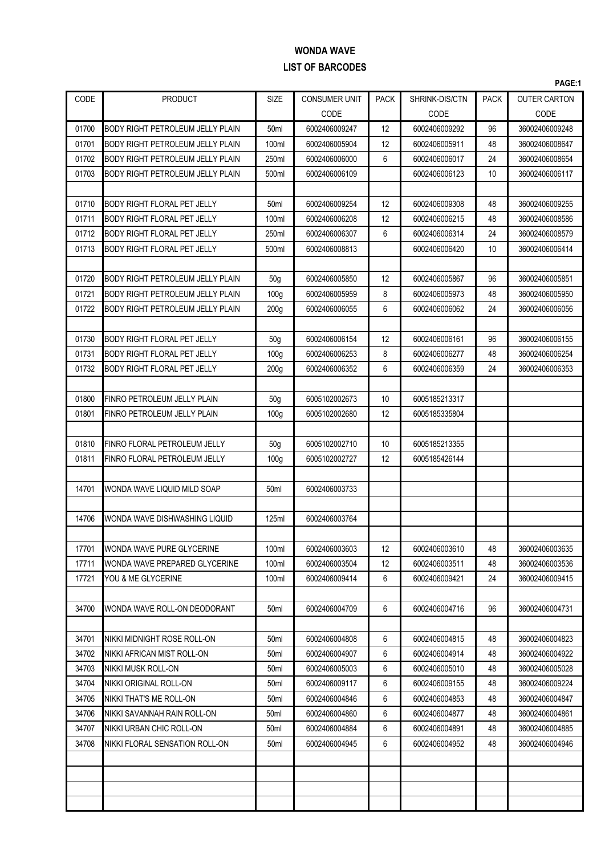|       |                                         |                  |                                |             |                |             | PAGE:1              |
|-------|-----------------------------------------|------------------|--------------------------------|-------------|----------------|-------------|---------------------|
| CODE  | <b>PRODUCT</b>                          | <b>SIZE</b>      | <b>CONSUMER UNIT</b>           | <b>PACK</b> | SHRINK-DIS/CTN | <b>PACK</b> | <b>OUTER CARTON</b> |
|       |                                         |                  | CODE                           |             | CODE           |             | CODE                |
| 01700 | <b>BODY RIGHT PETROLEUM JELLY PLAIN</b> | 50 <sub>ml</sub> | 6002406009247                  | 12          | 6002406009292  | 96          | 36002406009248      |
| 01701 | <b>BODY RIGHT PETROLEUM JELLY PLAIN</b> | 100ml            | 6002406005904                  | 12          | 6002406005911  | 48          | 36002406008647      |
| 01702 | <b>BODY RIGHT PETROLEUM JELLY PLAIN</b> | 250ml            | 6002406006000                  | 6           | 6002406006017  | 24          | 36002406008654      |
| 01703 | BODY RIGHT PETROLEUM JELLY PLAIN        | 500ml            | 6002406006109                  |             | 6002406006123  | 10          | 36002406006117      |
|       |                                         |                  |                                |             |                |             |                     |
| 01710 | <b>BODY RIGHT FLORAL PET JELLY</b>      | 50 <sub>ml</sub> | 6002406009254                  | 12          | 6002406009308  | 48          | 36002406009255      |
| 01711 | BODY RIGHT FLORAL PET JELLY             | 100ml            | 6002406006208                  | 12          | 6002406006215  | 48          | 36002406008586      |
| 01712 | <b>BODY RIGHT FLORAL PET JELLY</b>      | 250ml            | 6002406006307                  | 6           | 6002406006314  | 24          | 36002406008579      |
| 01713 | <b>BODY RIGHT FLORAL PET JELLY</b>      | 500ml            | 6002406008813                  |             | 6002406006420  | 10          | 36002406006414      |
|       |                                         |                  |                                |             |                |             |                     |
| 01720 | <b>BODY RIGHT PETROLEUM JELLY PLAIN</b> | 50 <sub>q</sub>  | 6002406005850                  | 12          | 6002406005867  | 96          | 36002406005851      |
| 01721 | <b>BODY RIGHT PETROLEUM JELLY PLAIN</b> | 100 <sub>g</sub> | 6002406005959                  | 8           | 6002406005973  | 48          | 36002406005950      |
| 01722 | <b>BODY RIGHT PETROLEUM JELLY PLAIN</b> | 200 <sub>g</sub> | 6002406006055                  | 6           | 6002406006062  | 24          | 36002406006056      |
|       |                                         |                  |                                |             |                |             |                     |
| 01730 | <b>BODY RIGHT FLORAL PET JELLY</b>      | 50 <sub>g</sub>  | 6002406006154                  | 12          | 6002406006161  | 96          | 36002406006155      |
| 01731 | <b>BODY RIGHT FLORAL PET JELLY</b>      | 100 <sub>g</sub> | 6002406006253                  | 8           | 6002406006277  | 48          | 36002406006254      |
| 01732 | <b>BODY RIGHT FLORAL PET JELLY</b>      | 200 <sub>g</sub> | 6002406006352                  | 6           | 6002406006359  | 24          | 36002406006353      |
|       |                                         |                  |                                |             |                |             |                     |
| 01800 | FINRO PETROLEUM JELLY PLAIN             | 50 <sub>g</sub>  | 6005102002673                  | 10          | 6005185213317  |             |                     |
| 01801 | FINRO PETROLEUM JELLY PLAIN             | 100 <sub>g</sub> | 6005102002680                  | 12          | 6005185335804  |             |                     |
|       |                                         |                  |                                |             |                |             |                     |
| 01810 | FINRO FLORAL PETROLEUM JELLY            | 50 <sub>g</sub>  | 6005102002710                  | 10          | 6005185213355  |             |                     |
| 01811 | FINRO FLORAL PETROLEUM JELLY            | 100q             | 6005102002727                  | 12          | 6005185426144  |             |                     |
|       |                                         |                  |                                |             |                |             |                     |
| 14701 | WONDA WAVE LIQUID MILD SOAP             | 50 <sub>ml</sub> | 6002406003733                  |             |                |             |                     |
|       |                                         |                  |                                |             |                |             |                     |
| 14706 | WONDA WAVE DISHWASHING LIQUID           | 125ml            | 6002406003764                  |             |                |             |                     |
|       |                                         |                  |                                |             |                |             |                     |
| 17701 | WONDA WAVE PURE GLYCERINE               | 100ml            | 6002406003603                  | 12          | 6002406003610  | 48          | 36002406003635      |
| 17711 | WONDA WAVE PREPARED GLYCERINE           | 100ml            | 6002406003504<br>6002406009414 | 12<br>6     | 6002406003511  | 48<br>24    | 36002406003536      |
| 17721 | YOU & ME GLYCERINE                      | 100ml            |                                |             | 6002406009421  |             | 36002406009415      |
| 34700 | WONDA WAVE ROLL-ON DEODORANT            | 50 <sub>ml</sub> | 6002406004709                  | 6           | 6002406004716  | 96          | 36002406004731      |
|       |                                         |                  |                                |             |                |             |                     |
| 34701 | NIKKI MIDNIGHT ROSE ROLL-ON             | 50 <sub>ml</sub> | 6002406004808                  | 6           | 6002406004815  | 48          | 36002406004823      |
| 34702 | NIKKI AFRICAN MIST ROLL-ON              | 50ml             | 6002406004907                  | 6           | 6002406004914  | 48          | 36002406004922      |
| 34703 | NIKKI MUSK ROLL-ON                      | 50 <sub>ml</sub> | 6002406005003                  | 6           | 6002406005010  | 48          | 36002406005028      |
| 34704 | NIKKI ORIGINAL ROLL-ON                  | 50ml             | 6002406009117                  | 6           | 6002406009155  | 48          | 36002406009224      |
| 34705 | NIKKI THAT'S ME ROLL-ON                 | 50 <sub>ml</sub> | 6002406004846                  | 6           | 6002406004853  | 48          | 36002406004847      |
| 34706 | NIKKI SAVANNAH RAIN ROLL-ON             | 50 <sub>ml</sub> | 6002406004860                  | 6           | 6002406004877  | 48          | 36002406004861      |
| 34707 | NIKKI URBAN CHIC ROLL-ON                | 50 <sub>ml</sub> | 6002406004884                  | 6           | 6002406004891  | 48          | 36002406004885      |
| 34708 | INIKKI FLORAL SENSATION ROLL-ON         | 50 <sub>ml</sub> | 6002406004945                  | 6           | 6002406004952  | 48          | 36002406004946      |
|       |                                         |                  |                                |             |                |             |                     |
|       |                                         |                  |                                |             |                |             |                     |
|       |                                         |                  |                                |             |                |             |                     |
|       |                                         |                  |                                |             |                |             |                     |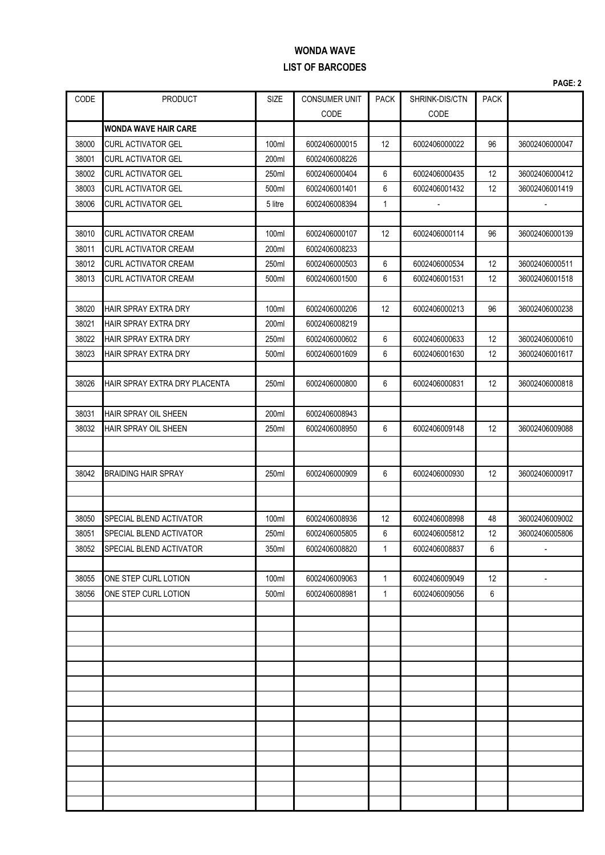|       |                               |         |                      |              |                |             | PAGE: 2        |
|-------|-------------------------------|---------|----------------------|--------------|----------------|-------------|----------------|
| CODE  | <b>PRODUCT</b>                | SIZE    | <b>CONSUMER UNIT</b> | <b>PACK</b>  | SHRINK-DIS/CTN | <b>PACK</b> |                |
|       |                               |         | CODE                 |              | CODE           |             |                |
|       | <b>IWONDA WAVE HAIR CARE</b>  |         |                      |              |                |             |                |
| 38000 | <b>CURL ACTIVATOR GEL</b>     | 100ml   | 6002406000015        | 12           | 6002406000022  | 96          | 36002406000047 |
| 38001 | <b>CURL ACTIVATOR GEL</b>     | 200ml   | 6002406008226        |              |                |             |                |
| 38002 | <b>CURL ACTIVATOR GEL</b>     | 250ml   | 6002406000404        | 6            | 6002406000435  | 12          | 36002406000412 |
| 38003 | <b>CURL ACTIVATOR GEL</b>     | 500ml   | 6002406001401        | 6            | 6002406001432  | 12          | 36002406001419 |
| 38006 | <b>CURL ACTIVATOR GEL</b>     | 5 litre | 6002406008394        | $\mathbf{1}$ |                |             |                |
|       |                               |         |                      |              |                |             |                |
| 38010 | <b>CURL ACTIVATOR CREAM</b>   | 100ml   | 6002406000107        | 12           | 6002406000114  | 96          | 36002406000139 |
| 38011 | <b>CURL ACTIVATOR CREAM</b>   | 200ml   | 6002406008233        |              |                |             |                |
| 38012 | <b>CURL ACTIVATOR CREAM</b>   | 250ml   | 6002406000503        | 6            | 6002406000534  | 12          | 36002406000511 |
| 38013 | <b>CURL ACTIVATOR CREAM</b>   | 500ml   | 6002406001500        | 6            | 6002406001531  | 12          | 36002406001518 |
|       |                               |         |                      |              |                |             |                |
| 38020 | <b>HAIR SPRAY EXTRA DRY</b>   | 100ml   | 6002406000206        | 12           | 6002406000213  | 96          | 36002406000238 |
| 38021 | <b>HAIR SPRAY EXTRA DRY</b>   | 200ml   | 6002406008219        |              |                |             |                |
| 38022 | HAIR SPRAY EXTRA DRY          | 250ml   | 6002406000602        | 6            | 6002406000633  | 12          | 36002406000610 |
| 38023 | <b>HAIR SPRAY EXTRA DRY</b>   | 500ml   | 6002406001609        | 6            | 6002406001630  | 12          | 36002406001617 |
|       |                               |         |                      |              |                |             |                |
| 38026 | HAIR SPRAY EXTRA DRY PLACENTA | 250ml   | 6002406000800        | 6            | 6002406000831  | 12          | 36002406000818 |
|       |                               |         |                      |              |                |             |                |
| 38031 | HAIR SPRAY OIL SHEEN          | 200ml   | 6002406008943        |              |                |             |                |
| 38032 | HAIR SPRAY OIL SHEEN          | 250ml   | 6002406008950        | 6            | 6002406009148  | 12          | 36002406009088 |
|       |                               |         |                      |              |                |             |                |
| 38042 | <b>BRAIDING HAIR SPRAY</b>    | 250ml   | 6002406000909        | 6            | 6002406000930  | 12          | 36002406000917 |
|       |                               |         |                      |              |                |             |                |
|       |                               |         |                      |              |                |             |                |
| 38050 | SPECIAL BLEND ACTIVATOR       | 100ml   | 6002406008936        | 12           | 6002406008998  | 48          | 36002406009002 |
| 38051 | SPECIAL BLEND ACTIVATOR       | 250ml   | 6002406005805        | 6            | 6002406005812  | 12          | 36002406005806 |
| 38052 | SPECIAL BLEND ACTIVATOR       | 350ml   | 6002406008820        | 1            | 6002406008837  | 6           |                |
|       |                               |         |                      |              |                |             |                |
| 38055 | ONE STEP CURL LOTION          | 100ml   | 6002406009063        | $\mathbf{1}$ | 6002406009049  | 12          | $\overline{a}$ |
| 38056 | ONE STEP CURL LOTION          | 500ml   | 6002406008981        | $\mathbf{1}$ | 6002406009056  | 6           |                |
|       |                               |         |                      |              |                |             |                |
|       |                               |         |                      |              |                |             |                |
|       |                               |         |                      |              |                |             |                |
|       |                               |         |                      |              |                |             |                |
|       |                               |         |                      |              |                |             |                |
|       |                               |         |                      |              |                |             |                |
|       |                               |         |                      |              |                |             |                |
|       |                               |         |                      |              |                |             |                |
|       |                               |         |                      |              |                |             |                |
|       |                               |         |                      |              |                |             |                |
|       |                               |         |                      |              |                |             |                |
|       |                               |         |                      |              |                |             |                |
|       |                               |         |                      |              |                |             |                |
|       |                               |         |                      |              |                |             |                |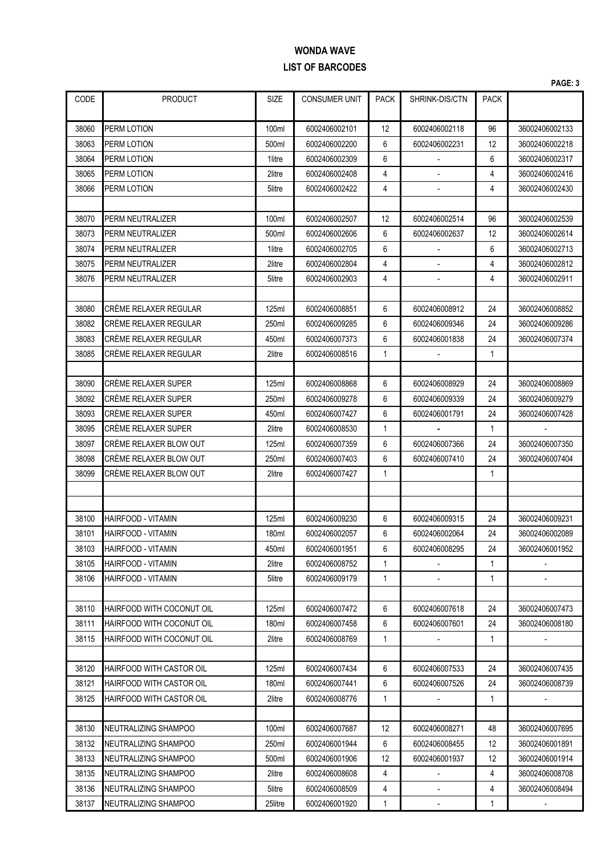|       |                            |             |                      |             |                |              | PAGE: 3                  |
|-------|----------------------------|-------------|----------------------|-------------|----------------|--------------|--------------------------|
| CODE  | <b>PRODUCT</b>             | <b>SIZE</b> | <b>CONSUMER UNIT</b> | <b>PACK</b> | SHRINK-DIS/CTN | <b>PACK</b>  |                          |
| 38060 | PERM LOTION                | 100ml       | 6002406002101        | 12          | 6002406002118  | 96           | 36002406002133           |
| 38063 | PERM LOTION                | 500ml       | 6002406002200        | 6           | 6002406002231  | 12           | 36002406002218           |
| 38064 | PERM LOTION                | 1litre      | 6002406002309        | 6           |                | 6            | 36002406002317           |
| 38065 | PERM LOTION                | 2litre      | 6002406002408        | 4           |                | 4            | 36002406002416           |
| 38066 | PERM LOTION                | 5litre      | 6002406002422        | 4           |                | 4            | 36002406002430           |
|       |                            |             |                      |             |                |              |                          |
| 38070 | PERM NEUTRALIZER           | 100ml       | 6002406002507        | 12          | 6002406002514  | 96           | 36002406002539           |
| 38073 | PERM NEUTRALIZER           | 500ml       | 6002406002606        | 6           | 6002406002637  | 12           | 36002406002614           |
| 38074 | PERM NEUTRALIZER           | 1litre      | 6002406002705        | 6           |                | 6            | 36002406002713           |
| 38075 | PERM NEUTRALIZER           | 2litre      | 6002406002804        | 4           |                | 4            | 36002406002812           |
| 38076 | PERM NEUTRALIZER           | 5litre      | 6002406002903        | 4           |                | 4            | 36002406002911           |
|       |                            |             |                      |             |                |              |                          |
| 38080 | CRÈME RELAXER REGULAR      | 125ml       | 6002406008851        | 6           | 6002406008912  | 24           | 36002406008852           |
| 38082 | CRÉME RELAXER REGULAR      | 250ml       | 6002406009285        | 6           | 6002406009346  | 24           | 36002406009286           |
| 38083 | CRÉME RELAXER REGULAR      | 450ml       | 6002406007373        | 6           | 6002406001838  | 24           | 36002406007374           |
| 38085 | CRÈME RELAXER REGULAR      | 2litre      | 6002406008516        | 1           |                | 1            |                          |
|       |                            |             |                      |             |                |              |                          |
| 38090 | <b>CRÈME RELAXER SUPER</b> | 125ml       | 6002406008868        | 6           | 6002406008929  | 24           | 36002406008869           |
| 38092 | CRÈME RELAXER SUPER        | 250ml       | 6002406009278        | 6           | 6002406009339  | 24           | 36002406009279           |
| 38093 | CRÉME RELAXER SUPER        | 450ml       | 6002406007427        | 6           | 6002406001791  | 24           | 36002406007428           |
| 38095 | CRÈME RELAXER SUPER        | 2litre      | 6002406008530        | 1           |                | 1            |                          |
| 38097 | CRÉME RELAXER BLOW OUT     | 125ml       | 6002406007359        | 6           | 6002406007366  | 24           | 36002406007350           |
| 38098 | CRÉME RELAXER BLOW OUT     | 250ml       | 6002406007403        | 6           | 6002406007410  | 24           | 36002406007404           |
| 38099 | CRÈME RELAXER BLOW OUT     | 2litre      | 6002406007427        | 1           |                | 1            |                          |
|       |                            |             |                      |             |                |              |                          |
|       |                            |             |                      |             |                |              |                          |
| 38100 | <b>HAIRFOOD - VITAMIN</b>  | 125ml       | 6002406009230        | 6           | 6002406009315  | 24           | 36002406009231           |
| 38101 | HAIRFOOD - VITAMIN         | 180ml       | 6002406002057        | 6           | 6002406002064  | 24           | 36002406002089           |
| 38103 | HAIRFOOD - VITAMIN         | 450ml       | 6002406001951        | 6           | 6002406008295  | 24           | 36002406001952           |
| 38105 | HAIRFOOD - VITAMIN         | 2litre      | 6002406008752        | 1           |                | 1            |                          |
| 38106 | HAIRFOOD - VITAMIN         | 5litre      | 6002406009179        | 1           |                | 1            |                          |
|       |                            |             |                      |             |                |              |                          |
| 38110 | HAIRFOOD WITH COCONUT OIL  | 125ml       | 6002406007472        | 6           | 6002406007618  | 24           | 36002406007473           |
| 38111 | HAIRFOOD WITH COCONUT OIL  | 180ml       | 6002406007458        | 6           | 6002406007601  | 24           | 36002406008180           |
| 38115 | HAIRFOOD WITH COCONUT OIL  | 2litre      | 6002406008769        | 1           |                | 1            |                          |
|       |                            |             |                      |             |                |              |                          |
| 38120 | HAIRFOOD WITH CASTOR OIL   | 125ml       | 6002406007434        | 6           | 6002406007533  | 24           | 36002406007435           |
| 38121 | HAIRFOOD WITH CASTOR OIL   | 180ml       | 6002406007441        | 6           | 6002406007526  | 24           | 36002406008739           |
| 38125 | HAIRFOOD WITH CASTOR OIL   | 2litre      | 6002406008776        | 1           |                | $\mathbf{1}$ |                          |
|       |                            |             |                      |             |                |              |                          |
| 38130 | NEUTRALIZING SHAMPOO       | 100ml       | 6002406007687        | 12          | 6002406008271  | 48           | 36002406007695           |
| 38132 | NEUTRALIZING SHAMPOO       | 250ml       | 6002406001944        | 6           | 6002406008455  | 12           | 36002406001891           |
| 38133 | NEUTRALIZING SHAMPOO       | 500ml       | 6002406001906        | 12          | 6002406001937  | 12           | 36002406001914           |
| 38135 | NEUTRALIZING SHAMPOO       | 2litre      | 6002406008608        | 4           |                | 4            | 36002406008708           |
| 38136 | NEUTRALIZING SHAMPOO       | 5litre      | 6002406008509        | 4           |                | 4            | 36002406008494           |
| 38137 | NEUTRALIZING SHAMPOO       | 25litre     | 6002406001920        | 1           | ۰.             | 1            | $\overline{\phantom{a}}$ |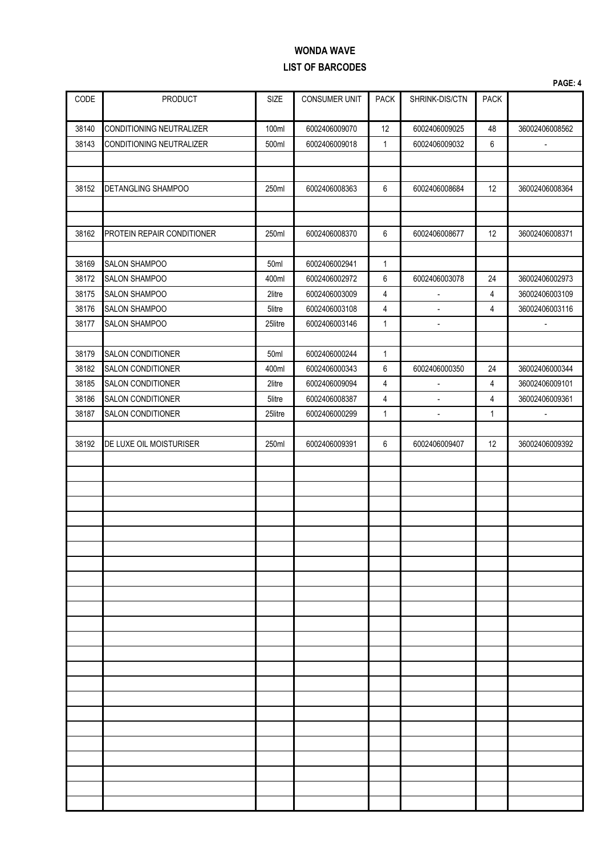|                |                                                      |                  |                                |                     |                                 |                | PAGE: 4                          |
|----------------|------------------------------------------------------|------------------|--------------------------------|---------------------|---------------------------------|----------------|----------------------------------|
| CODE           | <b>PRODUCT</b>                                       | SIZE             | CONSUMER UNIT                  | <b>PACK</b>         | SHRINK-DIS/CTN                  | <b>PACK</b>    |                                  |
| 38140          | CONDITIONING NEUTRALIZER                             | 100ml            | 6002406009070                  | 12                  | 6002406009025                   | 48             | 36002406008562                   |
| 38143          | <b>CONDITIONING NEUTRALIZER</b>                      | 500ml            | 6002406009018                  | $\mathbf{1}$        | 6002406009032                   | 6              | $\blacksquare$                   |
|                |                                                      |                  |                                |                     |                                 |                |                                  |
| 38152          | <b>DETANGLING SHAMPOO</b>                            | 250ml            | 6002406008363                  | 6                   | 6002406008684                   | 12             | 36002406008364                   |
|                |                                                      |                  |                                |                     |                                 |                |                                  |
|                |                                                      |                  |                                |                     |                                 |                |                                  |
| 38162          | PROTEIN REPAIR CONDITIONER                           | 250ml            | 6002406008370                  | 6                   | 6002406008677                   | 12             | 36002406008371                   |
| 38169          | <b>SALON SHAMPOO</b>                                 | 50ml             | 6002406002941                  | $\mathbf{1}$        |                                 |                |                                  |
| 38172          | <b>SALON SHAMPOO</b>                                 | 400ml            | 6002406002972                  | 6                   | 6002406003078                   | 24             | 36002406002973                   |
| 38175          | <b>SALON SHAMPOO</b>                                 | 2litre           | 6002406003009                  | 4                   | $\blacksquare$                  | 4              | 36002406003109                   |
| 38176          | <b>SALON SHAMPOO</b>                                 | 5litre           | 6002406003108                  | $\overline{4}$      | $\blacksquare$                  | $\overline{4}$ | 36002406003116                   |
| 38177          | <b>SALON SHAMPOO</b>                                 | 25litre          | 6002406003146                  | 1                   | $\blacksquare$                  |                | $\overline{\phantom{a}}$         |
|                |                                                      |                  |                                |                     |                                 |                |                                  |
| 38179<br>38182 | <b>SALON CONDITIONER</b><br><b>SALON CONDITIONER</b> | 50ml<br>400ml    | 6002406000244<br>6002406000343 | 1<br>6              | 6002406000350                   | 24             | 36002406000344                   |
|                |                                                      |                  |                                |                     |                                 |                |                                  |
| 38185<br>38186 | <b>SALON CONDITIONER</b><br><b>SALON CONDITIONER</b> | 2litre<br>5litre | 6002406009094<br>6002406008387 | 4<br>$\overline{4}$ | $\blacksquare$                  | 4<br>4         | 36002406009101<br>36002406009361 |
| 38187          | <b>SALON CONDITIONER</b>                             | 25litre          | 6002406000299                  | 1                   | $\frac{1}{2}$<br>$\blacksquare$ | $\mathbf{1}$   | $\Box$                           |
|                |                                                      |                  |                                |                     |                                 |                |                                  |
| 38192          | DE LUXE OIL MOISTURISER                              | 250ml            | 6002406009391                  | 6                   | 6002406009407                   | 12             | 36002406009392                   |
|                |                                                      |                  |                                |                     |                                 |                |                                  |
|                |                                                      |                  |                                |                     |                                 |                |                                  |
|                |                                                      |                  |                                |                     |                                 |                |                                  |
|                |                                                      |                  |                                |                     |                                 |                |                                  |
|                |                                                      |                  |                                |                     |                                 |                |                                  |
|                |                                                      |                  |                                |                     |                                 |                |                                  |
|                |                                                      |                  |                                |                     |                                 |                |                                  |
|                |                                                      |                  |                                |                     |                                 |                |                                  |
|                |                                                      |                  |                                |                     |                                 |                |                                  |
|                |                                                      |                  |                                |                     |                                 |                |                                  |
|                |                                                      |                  |                                |                     |                                 |                |                                  |
|                |                                                      |                  |                                |                     |                                 |                |                                  |
|                |                                                      |                  |                                |                     |                                 |                |                                  |
|                |                                                      |                  |                                |                     |                                 |                |                                  |
|                |                                                      |                  |                                |                     |                                 |                |                                  |
|                |                                                      |                  |                                |                     |                                 |                |                                  |
|                |                                                      |                  |                                |                     |                                 |                |                                  |
|                |                                                      |                  |                                |                     |                                 |                |                                  |
|                |                                                      |                  |                                |                     |                                 |                |                                  |
|                |                                                      |                  |                                |                     |                                 |                |                                  |
|                |                                                      |                  |                                |                     |                                 |                |                                  |
|                |                                                      |                  |                                |                     |                                 |                |                                  |
|                |                                                      |                  |                                |                     |                                 |                |                                  |
|                |                                                      |                  |                                |                     |                                 |                |                                  |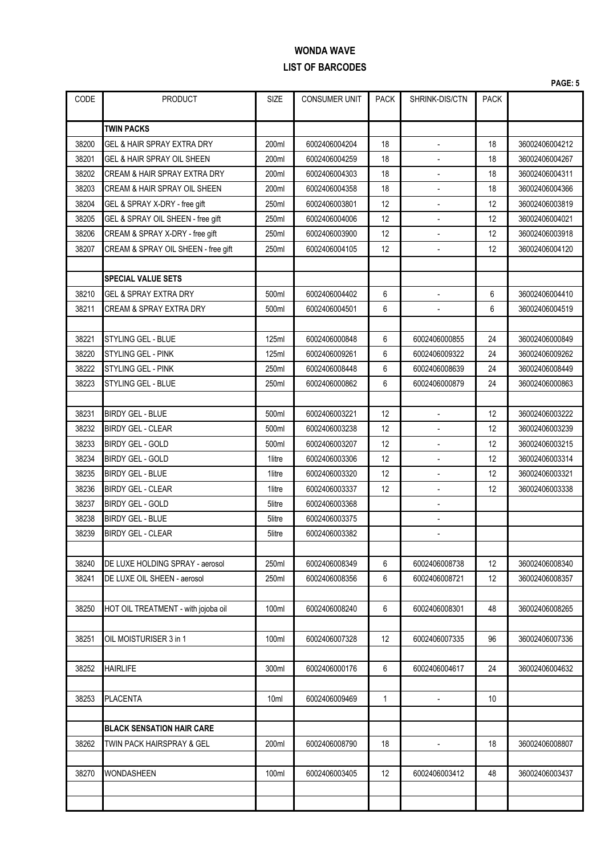|       |                                         |                  |                      |              |                |                   | PAGE: 5        |
|-------|-----------------------------------------|------------------|----------------------|--------------|----------------|-------------------|----------------|
| CODE  | <b>PRODUCT</b>                          | <b>SIZE</b>      | <b>CONSUMER UNIT</b> | <b>PACK</b>  | SHRINK-DIS/CTN | <b>PACK</b>       |                |
|       | <b>TWIN PACKS</b>                       |                  |                      |              |                |                   |                |
| 38200 | <b>GEL &amp; HAIR SPRAY EXTRA DRY</b>   | 200ml            | 6002406004204        | 18           |                | 18                | 36002406004212 |
| 38201 | GEL & HAIR SPRAY OIL SHEEN              | 200ml            | 6002406004259        | 18           |                | 18                | 36002406004267 |
| 38202 | <b>CREAM &amp; HAIR SPRAY EXTRA DRY</b> | 200ml            | 6002406004303        | 18           |                | 18                | 36002406004311 |
| 38203 | CREAM & HAIR SPRAY OIL SHEEN            | 200ml            | 6002406004358        | 18           | $\overline{a}$ | 18                | 36002406004366 |
| 38204 | GEL & SPRAY X-DRY - free gift           | 250ml            | 6002406003801        | 12           |                | 12                | 36002406003819 |
| 38205 | GEL & SPRAY OIL SHEEN - free gift       | 250ml            | 6002406004006        | 12           |                | 12                | 36002406004021 |
| 38206 | CREAM & SPRAY X-DRY - free gift         | 250ml            | 6002406003900        | 12           |                | 12                | 36002406003918 |
| 38207 | CREAM & SPRAY OIL SHEEN - free gift     | 250ml            | 6002406004105        | 12           |                | 12                | 36002406004120 |
|       |                                         |                  |                      |              |                |                   |                |
|       | <b>SPECIAL VALUE SETS</b>               |                  |                      |              |                |                   |                |
| 38210 | <b>GEL &amp; SPRAY EXTRA DRY</b>        | 500ml            | 6002406004402        | 6            | $\blacksquare$ | 6                 | 36002406004410 |
| 38211 | <b>CREAM &amp; SPRAY EXTRA DRY</b>      | 500ml            | 6002406004501        | 6            |                | 6                 | 36002406004519 |
|       |                                         |                  |                      |              |                |                   |                |
| 38221 | <b>STYLING GEL - BLUE</b>               | <b>125ml</b>     | 6002406000848        | 6            | 6002406000855  | 24                | 36002406000849 |
| 38220 | STYLING GEL - PINK                      | 125ml            | 6002406009261        | 6            | 6002406009322  | 24                | 36002406009262 |
| 38222 | <b>STYLING GEL - PINK</b>               | 250ml            | 6002406008448        | 6            | 6002406008639  | 24                | 36002406008449 |
| 38223 | <b>STYLING GEL - BLUE</b>               | 250ml            | 6002406000862        | 6            | 6002406000879  | 24                | 36002406000863 |
|       |                                         |                  |                      |              |                |                   |                |
| 38231 | <b>BIRDY GEL - BLUE</b>                 | 500ml            | 6002406003221        | 12           |                | 12                | 36002406003222 |
| 38232 | <b>BIRDY GEL - CLEAR</b>                | 500ml            | 6002406003238        | 12           |                | 12                | 36002406003239 |
| 38233 | <b>BIRDY GEL - GOLD</b>                 | 500ml            | 6002406003207        | 12           |                | 12                | 36002406003215 |
| 38234 | <b>BIRDY GEL - GOLD</b>                 | 1litre           | 6002406003306        | 12           |                | 12                | 36002406003314 |
| 38235 | <b>BIRDY GEL - BLUE</b>                 | 1litre           | 6002406003320        | 12           |                | 12                | 36002406003321 |
| 38236 | <b>BIRDY GEL - CLEAR</b>                | 1litre           | 6002406003337        | 12           | $\blacksquare$ | 12                | 36002406003338 |
| 38237 | <b>BIRDY GEL - GOLD</b>                 | 5litre           | 6002406003368        |              |                |                   |                |
| 38238 | <b>BIRDY GEL - BLUE</b>                 | 5litre           | 6002406003375        |              |                |                   |                |
| 38239 | <b>BIRDY GEL - CLEAR</b>                | 5litre           | 6002406003382        |              |                |                   |                |
|       |                                         |                  |                      |              |                |                   |                |
| 38240 | DE LUXE HOLDING SPRAY - aerosol         | 250ml            | 6002406008349        | 6            | 6002406008738  | $12 \overline{ }$ | 36002406008340 |
| 38241 | DE LUXE OIL SHEEN - aerosol             | 250ml            | 6002406008356        | 6            | 6002406008721  | 12                | 36002406008357 |
|       |                                         |                  |                      |              |                |                   |                |
| 38250 | HOT OIL TREATMENT - with jojoba oil     | 100ml            | 6002406008240        | 6            | 6002406008301  | 48                | 36002406008265 |
|       |                                         |                  |                      |              |                |                   |                |
| 38251 | OIL MOISTURISER 3 in 1                  | 100ml            | 6002406007328        | 12           | 6002406007335  | 96                | 36002406007336 |
|       |                                         |                  |                      |              |                |                   |                |
| 38252 | <b>HAIRLIFE</b>                         | 300ml            | 6002406000176        | 6            | 6002406004617  | 24                | 36002406004632 |
|       |                                         |                  |                      |              |                |                   |                |
| 38253 | <b>PLACENTA</b>                         | 10 <sub>ml</sub> | 6002406009469        | $\mathbf{1}$ | $\overline{a}$ | 10                |                |
|       |                                         |                  |                      |              |                |                   |                |
|       | <b>BLACK SENSATION HAIR CARE</b>        |                  |                      |              |                |                   |                |
| 38262 | TWIN PACK HAIRSPRAY & GEL               | 200ml            | 6002406008790        | 18           |                | 18                | 36002406008807 |
|       |                                         |                  |                      |              |                |                   |                |
| 38270 | <b>WONDASHEEN</b>                       | 100ml            | 6002406003405        | 12           | 6002406003412  | 48                | 36002406003437 |
|       |                                         |                  |                      |              |                |                   |                |
|       |                                         |                  |                      |              |                |                   |                |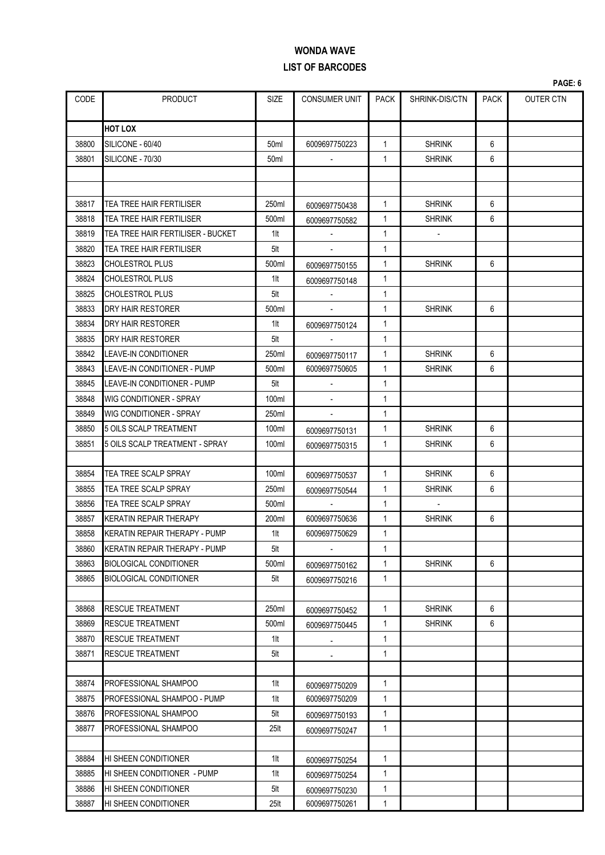|       |                                   |                  |                      |             |                |             | PAGE: 6          |
|-------|-----------------------------------|------------------|----------------------|-------------|----------------|-------------|------------------|
| CODE  | <b>PRODUCT</b>                    | <b>SIZE</b>      | <b>CONSUMER UNIT</b> | <b>PACK</b> | SHRINK-DIS/CTN | <b>PACK</b> | <b>OUTER CTN</b> |
|       | <b>HOT LOX</b>                    |                  |                      |             |                |             |                  |
| 38800 | SILICONE - 60/40                  | 50 <sub>ml</sub> | 6009697750223        | 1           | <b>SHRINK</b>  | 6           |                  |
| 38801 | SILICONE - 70/30                  | 50 <sub>ml</sub> |                      | 1           | <b>SHRINK</b>  | 6           |                  |
|       |                                   |                  |                      |             |                |             |                  |
|       |                                   |                  |                      |             |                |             |                  |
| 38817 | TEA TREE HAIR FERTILISER          | 250ml            | 6009697750438        | 1           | <b>SHRINK</b>  | 6           |                  |
| 38818 | TEA TREE HAIR FERTILISER          | 500ml            | 6009697750582        | 1           | <b>SHRINK</b>  | 6           |                  |
| 38819 | TEA TREE HAIR FERTILISER - BUCKET | 1lt              |                      | 1           |                |             |                  |
| 38820 | TEA TREE HAIR FERTILISER          | 5lt              |                      | 1           |                |             |                  |
| 38823 | <b>CHOLESTROL PLUS</b>            | 500ml            | 6009697750155        | 1           | <b>SHRINK</b>  | 6           |                  |
| 38824 | <b>CHOLESTROL PLUS</b>            | 1lt              | 6009697750148        | 1           |                |             |                  |
| 38825 | <b>CHOLESTROL PLUS</b>            | 5lt              |                      | 1           |                |             |                  |
| 38833 | <b>DRY HAIR RESTORER</b>          | 500ml            |                      | 1           | <b>SHRINK</b>  | 6           |                  |
| 38834 | <b>DRY HAIR RESTORER</b>          | 1lt              | 6009697750124        | 1           |                |             |                  |
| 38835 | <b>DRY HAIR RESTORER</b>          | 5lt              |                      | 1           |                |             |                  |
| 38842 | <b>LEAVE-IN CONDITIONER</b>       | 250ml            | 6009697750117        | 1           | <b>SHRINK</b>  | 6           |                  |
| 38843 | LEAVE-IN CONDITIONER - PUMP       | 500ml            | 6009697750605        | 1           | <b>SHRINK</b>  | 6           |                  |
| 38845 | LEAVE-IN CONDITIONER - PUMP       | 5lt              | $\blacksquare$       | 1           |                |             |                  |
| 38848 | <b>WIG CONDITIONER - SPRAY</b>    | 100ml            |                      | 1           |                |             |                  |
| 38849 | <b>WIG CONDITIONER - SPRAY</b>    | 250ml            |                      | 1           |                |             |                  |
| 38850 | 5 OILS SCALP TREATMENT            | 100ml            | 6009697750131        | 1           | <b>SHRINK</b>  | 6           |                  |
| 38851 | 5 OILS SCALP TREATMENT - SPRAY    | 100ml            | 6009697750315        | 1           | <b>SHRINK</b>  | 6           |                  |
|       |                                   |                  |                      |             |                |             |                  |
| 38854 | TEA TREE SCALP SPRAY              | 100ml            | 6009697750537        | 1           | <b>SHRINK</b>  | 6           |                  |
| 38855 | TEA TREE SCALP SPRAY              | 250ml            | 6009697750544        | 1           | <b>SHRINK</b>  | 6           |                  |
| 38856 | TEA TREE SCALP SPRAY              | 500ml            | $\blacksquare$       | 1           | $\mathbf{r}$   |             |                  |
| 38857 | <b>KERATIN REPAIR THERAPY</b>     | 200ml            | 6009697750636        | 1           | <b>SHRINK</b>  | 6           |                  |
| 38858 | KERATIN REPAIR THERAPY - PUMP     | $1$ lt           | 6009697750629        | 1           |                |             |                  |
| 38860 | KERATIN REPAIR THERAPY - PUMP     | 5lt              |                      | 1           |                |             |                  |
| 38863 | <b>BIOLOGICAL CONDITIONER</b>     | 500ml            | 6009697750162        | 1           | <b>SHRINK</b>  | 6           |                  |
| 38865 | <b>BIOLOGICAL CONDITIONER</b>     | 5lt              | 6009697750216        | 1           |                |             |                  |
|       |                                   |                  |                      |             |                |             |                  |
| 38868 | <b>RESCUE TREATMENT</b>           | 250ml            | 6009697750452        | 1           | <b>SHRINK</b>  | 6           |                  |
| 38869 | <b>RESCUE TREATMENT</b>           | 500ml            | 6009697750445        | 1           | <b>SHRINK</b>  | 6           |                  |
| 38870 | <b>RESCUE TREATMENT</b>           | 1lt              | $\blacksquare$       | 1           |                |             |                  |
| 38871 | <b>RESCUE TREATMENT</b>           | 5lt              |                      | 1           |                |             |                  |
|       |                                   |                  |                      |             |                |             |                  |
| 38874 | PROFESSIONAL SHAMPOO              | $1$ lt           | 6009697750209        | 1           |                |             |                  |
| 38875 | PROFESSIONAL SHAMPOO - PUMP       | $1$ lt           | 6009697750209        | 1           |                |             |                  |
| 38876 | PROFESSIONAL SHAMPOO              | 5lt              | 6009697750193        | 1           |                |             |                  |
| 38877 | PROFESSIONAL SHAMPOO              | 25 <sub>lt</sub> | 6009697750247        | 1           |                |             |                  |
|       |                                   |                  |                      |             |                |             |                  |
| 38884 | HI SHEEN CONDITIONER              | 1lt              | 6009697750254        | 1           |                |             |                  |
| 38885 | HI SHEEN CONDITIONER - PUMP       | 1lt              | 6009697750254        | 1           |                |             |                  |
| 38886 | HI SHEEN CONDITIONER              | 5lt              | 6009697750230        | 1           |                |             |                  |
| 38887 | HI SHEEN CONDITIONER              | 25 <sub>lt</sub> | 6009697750261        | 1           |                |             |                  |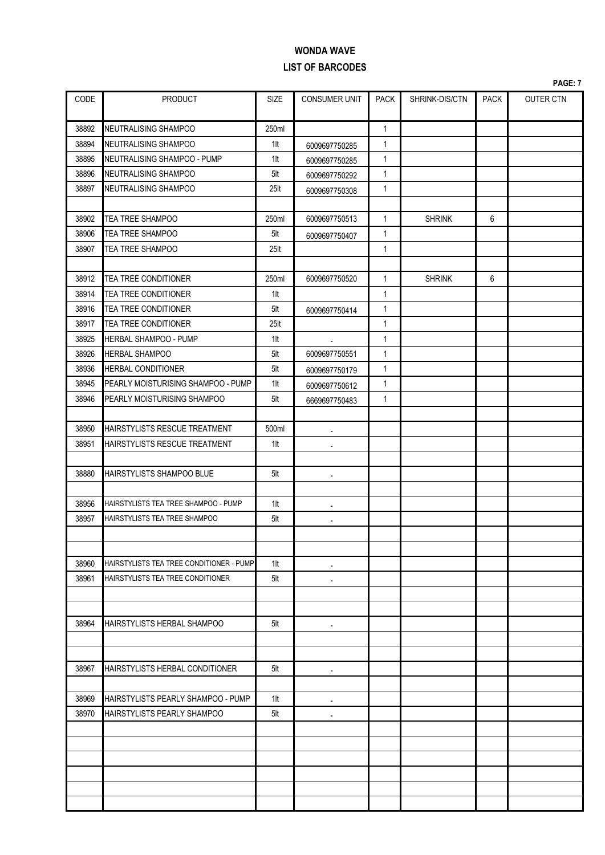|       |                                          |                  |                          |              |                |             | PAGE: 7          |
|-------|------------------------------------------|------------------|--------------------------|--------------|----------------|-------------|------------------|
| CODE  | <b>PRODUCT</b>                           | <b>SIZE</b>      | <b>CONSUMER UNIT</b>     | <b>PACK</b>  | SHRINK-DIS/CTN | <b>PACK</b> | <b>OUTER CTN</b> |
| 38892 | NEUTRALISING SHAMPOO                     | 250ml            |                          | $\mathbf{1}$ |                |             |                  |
| 38894 | NEUTRALISING SHAMPOO                     | $1$ lt           | 6009697750285            | $\mathbf{1}$ |                |             |                  |
| 38895 | NEUTRALISING SHAMPOO - PUMP              | $1$ lt           | 6009697750285            | 1            |                |             |                  |
| 38896 | NEUTRALISING SHAMPOO                     | 5lt              | 6009697750292            | 1            |                |             |                  |
| 38897 | NEUTRALISING SHAMPOO                     | 25 <sub>lt</sub> | 6009697750308            | 1            |                |             |                  |
|       |                                          |                  |                          |              |                |             |                  |
| 38902 | TEA TREE SHAMPOO                         | 250ml            | 6009697750513            | $\mathbf{1}$ | <b>SHRINK</b>  | 6           |                  |
| 38906 | TEA TREE SHAMPOO                         | 5lt              | 6009697750407            | 1            |                |             |                  |
| 38907 | TEA TREE SHAMPOO                         | 25 <sub>lt</sub> |                          | 1            |                |             |                  |
|       |                                          |                  |                          |              |                |             |                  |
| 38912 | TEA TREE CONDITIONER                     | 250ml            | 6009697750520            | 1            | <b>SHRINK</b>  | 6           |                  |
| 38914 | TEA TREE CONDITIONER                     | $1$ lt           |                          | $\mathbf{1}$ |                |             |                  |
| 38916 | TEA TREE CONDITIONER                     | 5lt              | 6009697750414            | $\mathbf{1}$ |                |             |                  |
| 38917 | TEA TREE CONDITIONER                     | 25lt             |                          | $\mathbf{1}$ |                |             |                  |
| 38925 | HERBAL SHAMPOO - PUMP                    | $1$ lt           |                          | $\mathbf{1}$ |                |             |                  |
| 38926 | <b>HERBAL SHAMPOO</b>                    | 5lt              | 6009697750551            | 1            |                |             |                  |
| 38936 | <b>HERBAL CONDITIONER</b>                | 5lt              | 6009697750179            | 1            |                |             |                  |
| 38945 | PEARLY MOISTURISING SHAMPOO - PUMP       | $1$ lt           | 6009697750612            | 1            |                |             |                  |
| 38946 | PEARLY MOISTURISING SHAMPOO              | 5lt              | 6669697750483            | $\mathbf{1}$ |                |             |                  |
| 38950 | HAIRSTYLISTS RESCUE TREATMENT            | 500ml            |                          |              |                |             |                  |
| 38951 | HAIRSTYLISTS RESCUE TREATMENT            | $1$ lt           | $\overline{a}$           |              |                |             |                  |
|       |                                          |                  | $\blacksquare$           |              |                |             |                  |
| 38880 | <b>HAIRSTYLISTS SHAMPOO BLUE</b>         | 5lt              | $\blacksquare$           |              |                |             |                  |
|       |                                          |                  |                          |              |                |             |                  |
| 38956 | HAIRSTYLISTS TEA TREE SHAMPOO - PUMP     | $1$ lt           | $\overline{\phantom{a}}$ |              |                |             |                  |
| 38957 | HAIRSTYLISTS TEA TREE SHAMPOO            | 5lt              | $\overline{\phantom{a}}$ |              |                |             |                  |
|       |                                          |                  |                          |              |                |             |                  |
|       |                                          |                  |                          |              |                |             |                  |
| 38960 | HAIRSTYLISTS TEA TREE CONDITIONER - PUMP | 1lt              | $\overline{a}$           |              |                |             |                  |
| 38961 | HAIRSTYLISTS TEA TREE CONDITIONER        | 5lt              |                          |              |                |             |                  |
|       |                                          |                  |                          |              |                |             |                  |
|       |                                          |                  |                          |              |                |             |                  |
| 38964 | HAIRSTYLISTS HERBAL SHAMPOO              | 5lt              | $\overline{\phantom{a}}$ |              |                |             |                  |
|       |                                          |                  |                          |              |                |             |                  |
|       |                                          |                  |                          |              |                |             |                  |
| 38967 | HAIRSTYLISTS HERBAL CONDITIONER          | 5lt              | $\blacksquare$           |              |                |             |                  |
|       |                                          |                  |                          |              |                |             |                  |
| 38969 | HAIRSTYLISTS PEARLY SHAMPOO - PUMP       | 1lt              | $\blacksquare$           |              |                |             |                  |
| 38970 | <b>HAIRSTYLISTS PEARLY SHAMPOO</b>       | 5lt              | $\overline{\phantom{a}}$ |              |                |             |                  |
|       |                                          |                  |                          |              |                |             |                  |
|       |                                          |                  |                          |              |                |             |                  |
|       |                                          |                  |                          |              |                |             |                  |
|       |                                          |                  |                          |              |                |             |                  |
|       |                                          |                  |                          |              |                |             |                  |
|       |                                          |                  |                          |              |                |             |                  |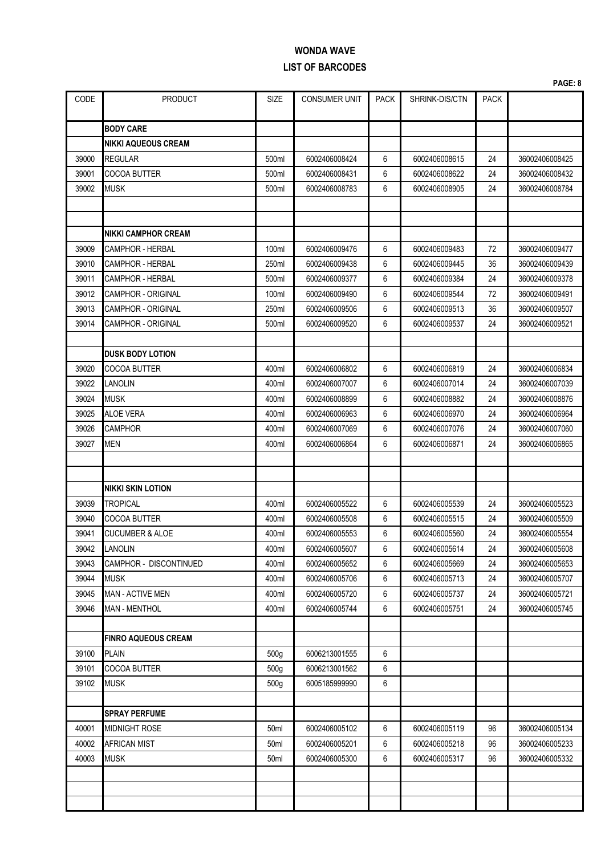|       |                            |                  |                      |             |                |             | PAGE: 8        |
|-------|----------------------------|------------------|----------------------|-------------|----------------|-------------|----------------|
| CODE  | <b>PRODUCT</b>             | <b>SIZE</b>      | <b>CONSUMER UNIT</b> | <b>PACK</b> | SHRINK-DIS/CTN | <b>PACK</b> |                |
|       | <b>BODY CARE</b>           |                  |                      |             |                |             |                |
|       | NIKKI AQUEOUS CREAM        |                  |                      |             |                |             |                |
| 39000 | REGULAR                    | 500ml            | 6002406008424        | 6           | 6002406008615  | 24          | 36002406008425 |
| 39001 | COCOA BUTTER               | 500ml            | 6002406008431        | 6           | 6002406008622  | 24          | 36002406008432 |
| 39002 | <b>MUSK</b>                | 500ml            | 6002406008783        | 6           | 6002406008905  | 24          | 36002406008784 |
|       |                            |                  |                      |             |                |             |                |
|       |                            |                  |                      |             |                |             |                |
|       | NIKKI CAMPHOR CREAM        |                  |                      |             |                |             |                |
| 39009 | CAMPHOR - HERBAL           | 100ml            | 6002406009476        | 6           | 6002406009483  | 72          | 36002406009477 |
| 39010 | CAMPHOR - HERBAL           | 250ml            | 6002406009438        | 6           | 6002406009445  | 36          | 36002406009439 |
| 39011 | CAMPHOR - HERBAL           | 500ml            | 6002406009377        | 6           | 6002406009384  | 24          | 36002406009378 |
| 39012 | <b>CAMPHOR - ORIGINAL</b>  | 100ml            | 6002406009490        | 6           | 6002406009544  | 72          | 36002406009491 |
| 39013 | CAMPHOR - ORIGINAL         | 250ml            | 6002406009506        | 6           | 6002406009513  | 36          | 36002406009507 |
| 39014 | <b>CAMPHOR - ORIGINAL</b>  | 500ml            | 6002406009520        | 6           | 6002406009537  | 24          | 36002406009521 |
|       |                            |                  |                      |             |                |             |                |
|       | DUSK BODY LOTION           |                  |                      |             |                |             |                |
| 39020 | COCOA BUTTER               | 400ml            | 6002406006802        | 6           | 6002406006819  | 24          | 36002406006834 |
| 39022 | LANOLIN                    | 400ml            | 6002406007007        | 6           | 6002406007014  | 24          | 36002406007039 |
| 39024 | <b>MUSK</b>                | 400ml            | 6002406008899        | 6           | 6002406008882  | 24          | 36002406008876 |
| 39025 | <b>ALOE VERA</b>           | 400ml            | 6002406006963        | 6           | 6002406006970  | 24          | 36002406006964 |
| 39026 | <b>CAMPHOR</b>             | 400ml            | 6002406007069        | 6           | 6002406007076  | 24          | 36002406007060 |
| 39027 | <b>MEN</b>                 | 400ml            | 6002406006864        | 6           | 6002406006871  | 24          | 36002406006865 |
|       |                            |                  |                      |             |                |             |                |
|       |                            |                  |                      |             |                |             |                |
|       | NIKKI SKIN LOTION          |                  |                      |             |                |             |                |
| 39039 | TROPICAL                   | 400ml            | 6002406005522        | 6           | 6002406005539  | 24          | 36002406005523 |
| 39040 | COCOA BUTTER               | 400ml            | 6002406005508        | 6           | 6002406005515  | 24          | 36002406005509 |
| 39041 | <b>CUCUMBER &amp; ALOE</b> | 400ml            | 6002406005553        | 6           | 6002406005560  | 24          | 36002406005554 |
| 39042 | LANOLIN                    | 400ml            | 6002406005607        | 6           | 6002406005614  | 24          | 36002406005608 |
| 39043 | CAMPHOR - DISCONTINUED     | 400ml            | 6002406005652        | 6           | 6002406005669  | 24          | 36002406005653 |
| 39044 | <b>MUSK</b>                | 400ml            | 6002406005706        | 6           | 6002406005713  | 24          | 36002406005707 |
| 39045 | <b>MAN - ACTIVE MEN</b>    | 400ml            | 6002406005720        | 6           | 6002406005737  | 24          | 36002406005721 |
| 39046 | <b>MAN - MENTHOL</b>       | 400ml            | 6002406005744        | 6           | 6002406005751  | 24          | 36002406005745 |
|       |                            |                  |                      |             |                |             |                |
|       | <b>FINRO AQUEOUS CREAM</b> |                  |                      |             |                |             |                |
| 39100 | <b>PLAIN</b>               | 500 <sub>g</sub> | 6006213001555        | 6           |                |             |                |
| 39101 | COCOA BUTTER               | 500 <sub>g</sub> | 6006213001562        | 6           |                |             |                |
| 39102 | <b>MUSK</b>                | 500g             | 6005185999990        | 6           |                |             |                |
|       |                            |                  |                      |             |                |             |                |
|       | <b>SPRAY PERFUME</b>       |                  |                      |             |                |             |                |
| 40001 | <b>MIDNIGHT ROSE</b>       | 50ml             | 6002406005102        | 6           | 6002406005119  | 96          | 36002406005134 |
| 40002 | AFRICAN MIST               | 50ml             | 6002406005201        | 6           | 6002406005218  | 96          | 36002406005233 |
| 40003 | <b>MUSK</b>                | 50ml             | 6002406005300        | 6           | 6002406005317  | 96          | 36002406005332 |
|       |                            |                  |                      |             |                |             |                |
|       |                            |                  |                      |             |                |             |                |
|       |                            |                  |                      |             |                |             |                |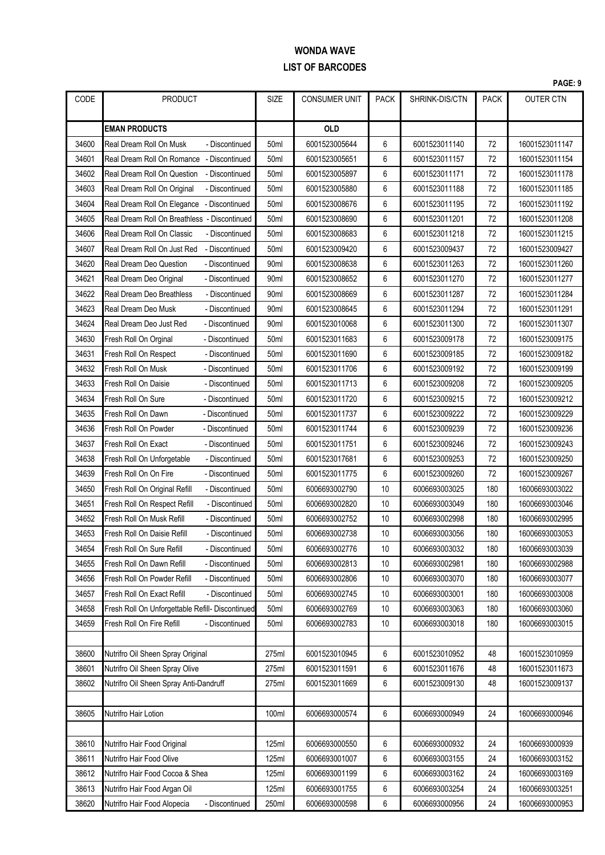|       |                                                  |                  |                      |             |                |             | PAGE: 9          |
|-------|--------------------------------------------------|------------------|----------------------|-------------|----------------|-------------|------------------|
| CODE  | <b>PRODUCT</b>                                   | <b>SIZE</b>      | <b>CONSUMER UNIT</b> | <b>PACK</b> | SHRINK-DIS/CTN | <b>PACK</b> | <b>OUTER CTN</b> |
|       | <b>EMAN PRODUCTS</b>                             |                  | <b>OLD</b>           |             |                |             |                  |
| 34600 | Real Dream Roll On Musk<br>- Discontinued        | 50 <sub>ml</sub> | 6001523005644        | 6           | 6001523011140  | 72          | 16001523011147   |
| 34601 | Real Dream Roll On Romance - Discontinued        | 50ml             | 6001523005651        | 6           | 6001523011157  | 72          | 16001523011154   |
| 34602 | Real Dream Roll On Question<br>- Discontinued    | 50 <sub>ml</sub> | 6001523005897        | 6           | 6001523011171  | 72          | 16001523011178   |
| 34603 | Real Dream Roll On Original<br>- Discontinued    | 50ml             | 6001523005880        | 6           | 6001523011188  | 72          | 16001523011185   |
| 34604 | Real Dream Roll On Elegance - Discontinued       | 50 <sub>ml</sub> | 6001523008676        | 6           | 6001523011195  | 72          | 16001523011192   |
| 34605 | Real Dream Roll On Breathless - Discontinued     | 50ml             | 6001523008690        | 6           | 6001523011201  | 72          | 16001523011208   |
| 34606 | Real Dream Roll On Classic<br>- Discontinued     | 50ml             | 6001523008683        | 6           | 6001523011218  | 72          | 16001523011215   |
| 34607 | Real Dream Roll On Just Red<br>- Discontinued    | 50ml             | 6001523009420        | 6           | 6001523009437  | 72          | 16001523009427   |
| 34620 | Real Dream Deo Question<br>- Discontinued        | 90ml             | 6001523008638        | 6           | 6001523011263  | 72          | 16001523011260   |
| 34621 | Real Dream Deo Original<br>- Discontinued        | 90 <sub>ml</sub> | 6001523008652        | 6           | 6001523011270  | 72          | 16001523011277   |
| 34622 | Real Dream Deo Breathless<br>- Discontinued      | 90ml             | 6001523008669        | 6           | 6001523011287  | 72          | 16001523011284   |
| 34623 | Real Dream Deo Musk<br>- Discontinued            | 90ml             | 6001523008645        | 6           | 6001523011294  | 72          | 16001523011291   |
| 34624 | Real Dream Deo Just Red<br>- Discontinued        | 90ml             | 6001523010068        | 6           | 6001523011300  | 72          | 16001523011307   |
| 34630 | Fresh Roll On Orginal<br>- Discontinued          | 50ml             | 6001523011683        | 6           | 6001523009178  | 72          | 16001523009175   |
| 34631 | Fresh Roll On Respect<br>- Discontinued          | 50ml             | 6001523011690        | 6           | 6001523009185  | 72          | 16001523009182   |
| 34632 | Fresh Roll On Musk<br>- Discontinued             | 50 <sub>ml</sub> | 6001523011706        | 6           | 6001523009192  | 72          | 16001523009199   |
| 34633 | Fresh Roll On Daisie<br>- Discontinued           | 50ml             | 6001523011713        | 6           | 6001523009208  | 72          | 16001523009205   |
| 34634 | Fresh Roll On Sure<br>- Discontinued             | 50ml             | 6001523011720        | 6           | 6001523009215  | 72          | 16001523009212   |
| 34635 | Fresh Roll On Dawn<br>- Discontinued             | 50ml             | 6001523011737        | 6           | 6001523009222  | 72          | 16001523009229   |
| 34636 | Fresh Roll On Powder<br>- Discontinued           | 50ml             | 6001523011744        | 6           | 6001523009239  | 72          | 16001523009236   |
| 34637 | Fresh Roll On Exact<br>- Discontinued            | 50ml             | 6001523011751        | 6           | 6001523009246  | 72          | 16001523009243   |
| 34638 | Fresh Roll On Unforgetable<br>- Discontinued     | 50ml             | 6001523017681        | 6           | 6001523009253  | 72          | 16001523009250   |
| 34639 | Fresh Roll On On Fire<br>- Discontinued          | 50 <sub>ml</sub> | 6001523011775        | 6           | 6001523009260  | 72          | 16001523009267   |
| 34650 | Fresh Roll On Original Refill<br>- Discontinued  | 50ml             | 6006693002790        | 10          | 6006693003025  | 180         | 16006693003022   |
| 34651 | Fresh Roll On Respect Refill<br>- Discontinued   | 50ml             | 6006693002820        | 10          | 6006693003049  | 180         | 16006693003046   |
| 34652 | Fresh Roll On Musk Refill<br>- Discontinued      | 50 <sub>ml</sub> | 6006693002752        | 10          | 6006693002998  | 180         | 16006693002995   |
| 34653 | Fresh Roll On Daisie Refill<br>- Discontinued    | 50ml             | 6006693002738        | 10          | 6006693003056  | 180         | 16006693003053   |
| 34654 | Fresh Roll On Sure Refill<br>- Discontinued      | 50ml             | 6006693002776        | 10          | 6006693003032  | 180         | 16006693003039   |
| 34655 | Fresh Roll On Dawn Refill<br>- Discontinued      | 50ml             | 6006693002813        | 10          | 6006693002981  | 180         | 16006693002988   |
| 34656 | Fresh Roll On Powder Refill<br>- Discontinued    | 50 <sub>ml</sub> | 6006693002806        | 10          | 6006693003070  | 180         | 16006693003077   |
| 34657 | Fresh Roll On Exact Refill<br>- Discontinued     | 50ml             | 6006693002745        | 10          | 6006693003001  | 180         | 16006693003008   |
| 34658 | Fresh Roll On Unforgettable Refill- Discontinued | 50ml             | 6006693002769        | 10          | 6006693003063  | 180         | 16006693003060   |
| 34659 | Fresh Roll On Fire Refill<br>- Discontinued      | 50ml             | 6006693002783        | 10          | 6006693003018  | 180         | 16006693003015   |
|       |                                                  |                  |                      |             |                |             |                  |
| 38600 | Nutrifro Oil Sheen Spray Original                | 275ml            | 6001523010945        | 6           | 6001523010952  | 48          | 16001523010959   |
| 38601 | Nutrifro Oil Sheen Spray Olive                   | 275ml            | 6001523011591        | 6           | 6001523011676  | 48          | 16001523011673   |
| 38602 | Nutrifro Oil Sheen Spray Anti-Dandruff           | 275ml            | 6001523011669        | 6           | 6001523009130  | 48          | 16001523009137   |
|       |                                                  |                  |                      |             |                |             |                  |
| 38605 | Nutrifro Hair Lotion                             | 100ml            | 6006693000574        | 6           | 6006693000949  | 24          | 16006693000946   |
|       |                                                  |                  |                      |             |                |             |                  |
| 38610 | Nutrifro Hair Food Original                      | 125ml            | 6006693000550        | 6           | 6006693000932  | 24          | 16006693000939   |
| 38611 | Nutrifro Hair Food Olive                         | 125ml            | 6006693001007        | 6           | 6006693003155  | 24          | 16006693003152   |
| 38612 | Nutrifro Hair Food Cocoa & Shea                  | 125ml            | 6006693001199        | 6           | 6006693003162  | 24          | 16006693003169   |
| 38613 | Nutrifro Hair Food Argan Oil                     | 125ml            | 6006693001755        | 6           | 6006693003254  | 24          | 16006693003251   |
| 38620 | Nutrifro Hair Food Alopecia<br>- Discontinued    | 250ml            | 6006693000598        | 6           | 6006693000956  | 24          | 16006693000953   |